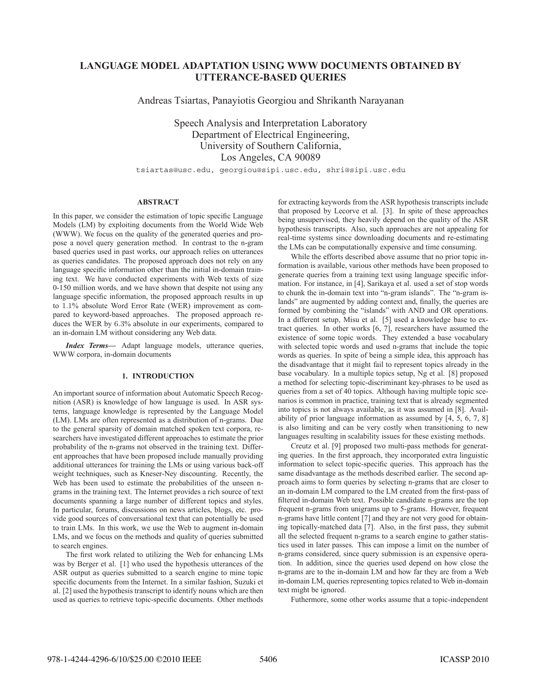# **LANGUAGE MODEL ADAPTATION USING WWW DOCUMENTS OBTAINED BY UTTERANCE-BASED QUERIES**

Andreas Tsiartas, Panayiotis Georgiou and Shrikanth Narayanan

Speech Analysis and Interpretation Laboratory Department of Electrical Engineering, University of Southern California, Los Angeles, CA 90089

tsiartas@usc.edu, georgiou@sipi.usc.edu, shri@sipi.usc.edu

# **ABSTRACT**

In this paper, we consider the estimation of topic specific Language Models (LM) by exploiting documents from the World Wide Web (WWW). We focus on the quality of the generated queries and propose a novel query generation method. In contrast to the n-gram based queries used in past works, our approach relies on utterances as queries candidates. The proposed approach does not rely on any language specific information other than the initial in-domain training text. We have conducted experiments with Web texts of size 0-150 million words, and we have shown that despite not using any language specific information, the proposed approach results in up to 1.1% absolute Word Error Rate (WER) improvement as compared to keyword-based approaches. The proposed approach reduces the WER by 6.3% absolute in our experiments, compared to an in-domain LM without considering any Web data.

*Index Terms***—** Adapt language models, utterance queries, WWW corpora, in-domain documents

# **1. INTRODUCTION**

An important source of information about Automatic Speech Recognition (ASR) is knowledge of how language is used. In ASR systems, language knowledge is represented by the Language Model (LM). LMs are often represented as a distribution of n-grams. Due to the general sparsity of domain matched spoken text corpora, researchers have investigated different approaches to estimate the prior probability of the n-grams not observed in the training text. Different approaches that have been proposed include manually providing additional utterances for training the LMs or using various back-off weight techniques, such as Kneser-Ney discounting. Recently, the Web has been used to estimate the probabilities of the unseen ngrams in the training text. The Internet provides a rich source of text documents spanning a large number of different topics and styles. In particular, forums, discussions on news articles, blogs, etc. provide good sources of conversational text that can potentially be used to train LMs. In this work, we use the Web to augment in-domain LMs, and we focus on the methods and quality of queries submitted to search engines.

The first work related to utilizing the Web for enhancing LMs was by Berger et al. [1] who used the hypothesis utterances of the ASR output as queries submitted to a search engine to mine topic specific documents from the Internet. In a similar fashion, Suzuki et al. [2] used the hypothesis transcript to identify nouns which are then used as queries to retrieve topic-specific documents. Other methods

for extracting keywords from the ASR hypothesis transcripts include that proposed by Lecorve et al. [3]. In spite of these approaches being unsupervised, they heavily depend on the quality of the ASR hypothesis transcripts. Also, such approaches are not appealing for real-time systems since downloading documents and re-estimating the LMs can be computationally expensive and time consuming.

While the efforts described above assume that no prior topic information is available, various other methods have been proposed to generate queries from a training text using language specific information. For instance, in [4], Sarikaya et al. used a set of stop words to chunk the in-domain text into "n-gram islands". The "n-gram islands" are augmented by adding context and, finally, the queries are formed by combining the "islands" with AND and OR operations. In a different setup, Misu et al. [5] used a knowledge base to extract queries. In other works [6, 7], researchers have assumed the existence of some topic words. They extended a base vocabulary with selected topic words and used n-grams that include the topic words as queries. In spite of being a simple idea, this approach has the disadvantage that it might fail to represent topics already in the base vocabulary. In a multiple topics setup, Ng et al. [8] proposed a method for selecting topic-discriminant key-phrases to be used as queries from a set of 40 topics. Although having multiple topic scenarios is common in practice, training text that is already segmented into topics is not always available, as it was assumed in [8]. Availability of prior language information as assumed by [4, 5, 6, 7, 8] is also limiting and can be very costly when transitioning to new languages resulting in scalability issues for these existing methods.

Creutz et al. [9] proposed two multi-pass methods for generating queries. In the first approach, they incorporated extra linguistic information to select topic-specific queries. This approach has the same disadvantage as the methods described earlier. The second approach aims to form queries by selecting n-grams that are closer to an in-domain LM compared to the LM created from the first-pass of filtered in-domain Web text. Possible candidate n-grams are the top frequent n-grams from unigrams up to 5-grams. However, frequent n-grams have little content [7] and they are not very good for obtaining topically-matched data [7]. Also, in the first pass, they submit all the selected frequent n-grams to a search engine to gather statistics used in later passes. This can impose a limit on the number of n-grams considered, since query submission is an expensive operation. In addition, since the queries used depend on how close the n-grams are to the in-domain LM and how far they are from a Web in-domain LM, queries representing topics related to Web in-domain text might be ignored.

Futhermore, some other works assume that a topic-independent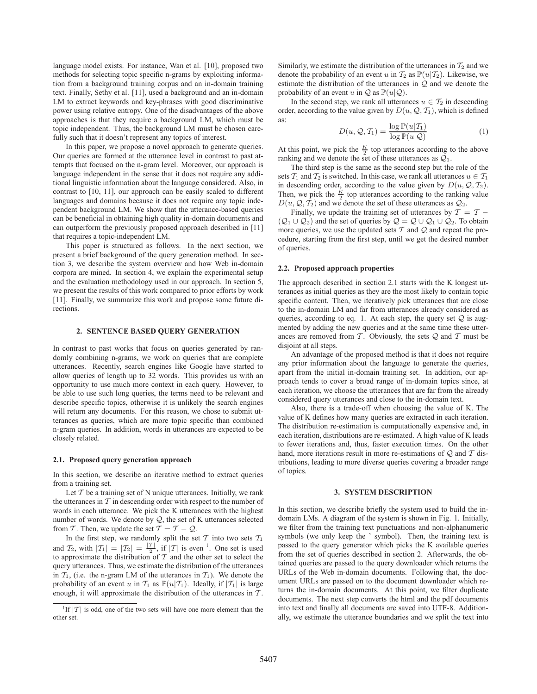language model exists. For instance, Wan et al. [10], proposed two methods for selecting topic specific n-grams by exploiting information from a background training corpus and an in-domain training text. Finally, Sethy et al. [11], used a background and an in-domain LM to extract keywords and key-phrases with good discriminative power using relative entropy. One of the disadvantages of the above approaches is that they require a background LM, which must be topic independent. Thus, the background LM must be chosen carefully such that it doesn't represent any topics of interest.

In this paper, we propose a novel approach to generate queries. Our queries are formed at the utterance level in contrast to past attempts that focused on the n-gram level. Moreover, our approach is language independent in the sense that it does not require any additional linguistic information about the language considered. Also, in contrast to [10, 11], our approach can be easily scaled to different languages and domains because it does not require any topic independent background LM. We show that the utterance-based queries can be beneficial in obtaining high quality in-domain documents and can outperform the previously proposed approach described in [11] that requires a topic-independent LM.

This paper is structured as follows. In the next section, we present a brief background of the query generation method. In section 3, we describe the system overview and how Web in-domain corpora are mined. In section 4, we explain the experimental setup and the evaluation methodology used in our approach. In section 5, we present the results of this work compared to prior efforts by work [11]. Finally, we summarize this work and propose some future directions.

### **2. SENTENCE BASED QUERY GENERATION**

In contrast to past works that focus on queries generated by randomly combining n-grams, we work on queries that are complete utterances. Recently, search engines like Google have started to allow queries of length up to 32 words. This provides us with an opportunity to use much more context in each query. However, to be able to use such long queries, the terms need to be relevant and describe specific topics, otherwise it is unlikely the search engines will return any documents. For this reason, we chose to submit utterances as queries, which are more topic specific than combined n-gram queries. In addition, words in utterances are expected to be closely related.

#### **2.1. Proposed query generation approach**

In this section, we describe an iterative method to extract queries from a training set.

Let  $T$  be a training set of N unique utterances. Initially, we rank the utterances in  $T$  in descending order with respect to the number of words in each utterance. We pick the K utterances with the highest number of words. We denote by  $Q$ , the set of K utterances selected from T. Then, we update the set  $T = T - Q$ .

In the first step, we randomly split the set  $\mathcal T$  into two sets  $\mathcal T_1$ and  $\mathcal{T}_2$ , with  $|\mathcal{T}_1| = |\mathcal{T}_2| = \frac{|\mathcal{T}|}{2}$ , if  $|\mathcal{T}|$  is even <sup>1</sup>. One set is used to approximate the distribution of  $\mathcal{T}$  and the other set to select the to approximate the distribution of  $T$  and the other set to select the query utterances. Thus, we estimate the distribution of the utterances in  $T_1$ , (i.e. the n-gram LM of the utterances in  $T_1$ ). We denote the probability of an event u in  $\mathcal{T}_1$  as  $\mathbb{P}(u|\mathcal{T}_1)$ . Ideally, if  $|\mathcal{T}_1|$  is large enough, it will approximate the distribution of the utterances in  $T$ .

Similarly, we estimate the distribution of the utterances in  $T_2$  and we denote the probability of an event u in  $T_2$  as  $\mathbb{P}(u|T_2)$ . Likewise, we estimate the distribution of the utterances in Q and we denote the probability of an event u in  $\mathcal Q$  as  $\mathbb P(u|\mathcal Q)$ .

In the second step, we rank all utterances  $u \in \mathcal{T}_2$  in descending order, according to the value given by  $D(u, Q, T_1)$ , which is defined as: as:

$$
D(u, Q, T_1) = \frac{\log \mathbb{P}(u|T_1)}{\log \mathbb{P}(u|Q)}
$$
 (1)  
At this point, we pick the  $\frac{K}{2}$  to putterances according to the above

ranking and we denote the set of these utterances as  $Q_1$ .

The third step is the same as the second step but the role of the sets  $T_1$  and  $T_2$  is switched. In this case, we rank all utterances  $u \in T_1$ in descending order, according to the value given by  $D(u, Q, T_2)$ . Then, we pick the  $\frac{\hat{K}}{2}$  top utterances according to the ranking value  $D(u, Q, T_2)$  and we denote the set of these utterances as  $Q_2$ .

Finally, we update the training set of utterances by  $T = T (Q_1 \cup Q_2)$  and the set of queries by  $Q = Q \cup Q_1 \cup Q_2$ . To obtain more queries, we use the updated sets  $T$  and  $Q$  and repeat the procedure, starting from the first step, until we get the desired number of queries.

#### **2.2. Proposed approach properties**

The approach described in section 2.1 starts with the K longest utterances as initial queries as they are the most likely to contain topic specific content. Then, we iteratively pick utterances that are close to the in-domain LM and far from utterances already considered as queries, according to eq. 1. At each step, the query set  $Q$  is augmented by adding the new queries and at the same time these utterances are removed from  $T$ . Obviously, the sets  $Q$  and  $T$  must be disjoint at all steps.

An advantage of the proposed method is that it does not require any prior information about the language to generate the queries, apart from the initial in-domain training set. In addition, our approach tends to cover a broad range of in-domain topics since, at each iteration, we choose the utterances that are far from the already considered query utterances and close to the in-domain text.

Also, there is a trade-off when choosing the value of K. The value of K defines how many queries are extracted in each iteration. The distribution re-estimation is computationally expensive and, in each iteration, distributions are re-estimated. A high value of K leads to fewer iterations and, thus, faster execution times. On the other hand, more iterations result in more re-estimations of  $Q$  and  $T$  distributions, leading to more diverse queries covering a broader range of topics.

#### **3. SYSTEM DESCRIPTION**

In this section, we describe briefly the system used to build the indomain LMs. A diagram of the system is shown in Fig. 1. Initially, we filter from the training text punctuations and non-alphanumeric symbols (we only keep the ' symbol). Then, the training text is passed to the query generator which picks the K available queries from the set of queries described in section 2. Afterwards, the obtained queries are passed to the query downloader which returns the URLs of the Web in-domain documents. Following that, the document URLs are passed on to the document downloader which returns the in-domain documents. At this point, we filter duplicate documents. The next step converts the html and the pdf documents into text and finally all documents are saved into UTF-8. Additionally, we estimate the utterance boundaries and we split the text into

<sup>&</sup>lt;sup>1</sup>If  $|T|$  is odd, one of the two sets will have one more element than the other set.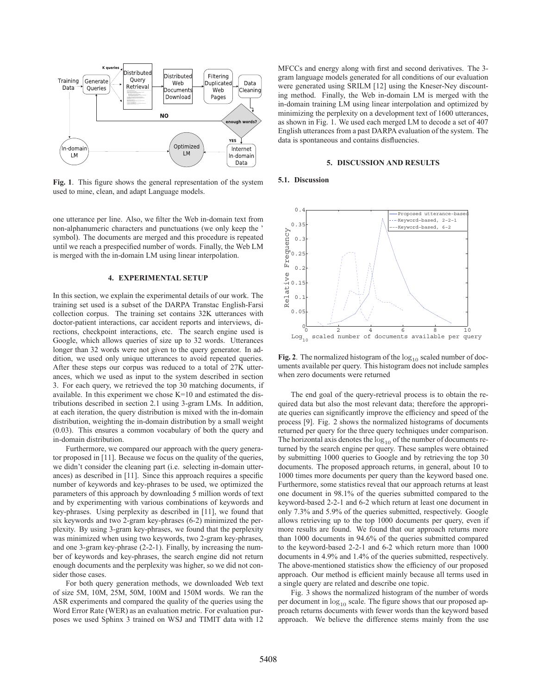

Fig. 1. This figure shows the general representation of the system used to mine, clean, and adapt Language models.

one utterance per line. Also, we filter the Web in-domain text from non-alphanumeric characters and punctuations (we only keep the ' symbol). The documents are merged and this procedure is repeated until we reach a prespecified number of words. Finally, the Web LM is merged with the in-domain LM using linear interpolation.

#### **4. EXPERIMENTAL SETUP**

In this section, we explain the experimental details of our work. The training set used is a subset of the DARPA Transtac English-Farsi collection corpus. The training set contains 32K utterances with doctor-patient interactions, car accident reports and interviews, directions, checkpoint interactions, etc. The search engine used is Google, which allows queries of size up to 32 words. Utterances longer than 32 words were not given to the query generator. In addition, we used only unique utterances to avoid repeated queries. After these steps our corpus was reduced to a total of 27K utterances, which we used as input to the system described in section 3. For each query, we retrieved the top 30 matching documents, if available. In this experiment we chose K=10 and estimated the distributions described in section 2.1 using 3-gram LMs. In addition, at each iteration, the query distribution is mixed with the in-domain distribution, weighting the in-domain distribution by a small weight (0.03). This ensures a common vocabulary of both the query and in-domain distribution.

Furthermore, we compared our approach with the query generator proposed in [11]. Because we focus on the quality of the queries, we didn't consider the cleaning part (i.e. selecting in-domain utterances) as described in  $[11]$ . Since this approach requires a specific number of keywords and key-phrases to be used, we optimized the parameters of this approach by downloading 5 million words of text and by experimenting with various combinations of keywords and key-phrases. Using perplexity as described in [11], we found that six keywords and two 2-gram key-phrases (6-2) minimized the perplexity. By using 3-gram key-phrases, we found that the perplexity was minimized when using two keywords, two 2-gram key-phrases, and one 3-gram key-phrase (2-2-1). Finally, by increasing the number of keywords and key-phrases, the search engine did not return enough documents and the perplexity was higher, so we did not consider those cases.

For both query generation methods, we downloaded Web text of size 5M, 10M, 25M, 50M, 100M and 150M words. We ran the ASR experiments and compared the quality of the queries using the Word Error Rate (WER) as an evaluation metric. For evaluation purposes we used Sphinx 3 trained on WSJ and TIMIT data with 12

MFCCs and energy along with first and second derivatives. The 3gram language models generated for all conditions of our evaluation were generated using SRILM [12] using the Kneser-Ney discounting method. Finally, the Web in-domain LM is merged with the in-domain training LM using linear interpolation and optimized by minimizing the perplexity on a development text of 1600 utterances, as shown in Fig. 1. We used each merged LM to decode a set of 407 English utterances from a past DARPA evaluation of the system. The data is spontaneous and contains disfluencies.

## **5. DISCUSSION AND RESULTS**

#### **5.1. Discussion**



**Fig. 2**. The normalized histogram of the  $log_{10}$  scaled number of documents available per query. This histogram does not include samples when zero documents were returned

The end goal of the query-retrieval process is to obtain the required data but also the most relevant data; therefore the appropriate queries can significantly improve the efficiency and speed of the process [9]. Fig. 2 shows the normalized histograms of documents returned per query for the three query techniques under comparison. The horizontal axis denotes the  $log_{10}$  of the number of documents returned by the search engine per query. These samples were obtained by submitting 1000 queries to Google and by retrieving the top 30 documents. The proposed approach returns, in general, about 10 to 1000 times more documents per query than the keyword based one. Furthermore, some statistics reveal that our approach returns at least one document in 98.1% of the queries submitted compared to the keyword-based 2-2-1 and 6-2 which return at least one document in only 7.3% and 5.9% of the queries submitted, respectively. Google allows retrieving up to the top 1000 documents per query, even if more results are found. We found that our approach returns more than 1000 documents in 94.6% of the queries submitted compared to the keyword-based 2-2-1 and 6-2 which return more than 1000 documents in 4.9% and 1.4% of the queries submitted, respectively. The above-mentioned statistics show the efficiency of our proposed approach. Our method is efficient mainly because all terms used in a single query are related and describe one topic.

Fig. 3 shows the normalized histogram of the number of words per document in  $log_{10}$  scale. The figure shows that our proposed approach returns documents with fewer words than the keyword based approach. We believe the difference stems mainly from the use